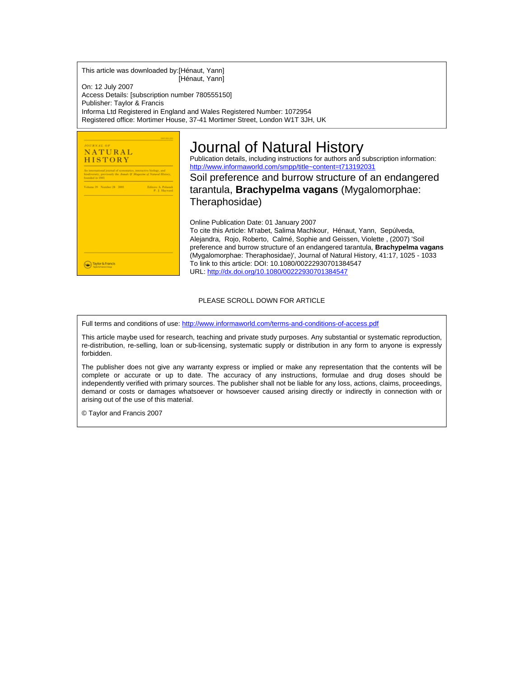This article was downloaded by:[Hénaut, Yann] [Hénaut, Yann]

On: 12 July 2007 Access Details: [subscription number 780555150] Publisher: Taylor & Francis Informa Ltd Registered in England and Wales Registered Number: 1072954 Registered office: Mortimer House, 37-41 Mortimer Street, London W1T 3JH, UK



# Journal of Natural History

Publication details, including instructions for authors and subscription information: <http://www.informaworld.com/smpp/title~content=t713192031>

Soil preference and burrow structure of an endangered tarantula, **Brachypelma vagans** (Mygalomorphae: Theraphosidae)

Online Publication Date: 01 January 2007

To cite this Article: M'rabet, Salima Machkour, Hénaut, Yann, Sepúlveda, Alejandra, Rojo, Roberto, Calmé, Sophie and Geissen, Violette , (2007) 'Soil preference and burrow structure of an endangered tarantula, **Brachypelma vagans** (Mygalomorphae: Theraphosidae)', Journal of Natural History, 41:17, 1025 - 1033 To link to this article: DOI: 10.1080/00222930701384547 URL: <http://dx.doi.org/10.1080/00222930701384547>

#### PLEASE SCROLL DOWN FOR ARTICLE

Full terms and conditions of use: <http://www.informaworld.com/terms-and-conditions-of-access.pdf>

This article maybe used for research, teaching and private study purposes. Any substantial or systematic reproduction, re-distribution, re-selling, loan or sub-licensing, systematic supply or distribution in any form to anyone is expressly forbidden.

The publisher does not give any warranty express or implied or make any representation that the contents will be complete or accurate or up to date. The accuracy of any instructions, formulae and drug doses should be independently verified with primary sources. The publisher shall not be liable for any loss, actions, claims, proceedings, demand or costs or damages whatsoever or howsoever caused arising directly or indirectly in connection with or arising out of the use of this material.

© Taylor and Francis 2007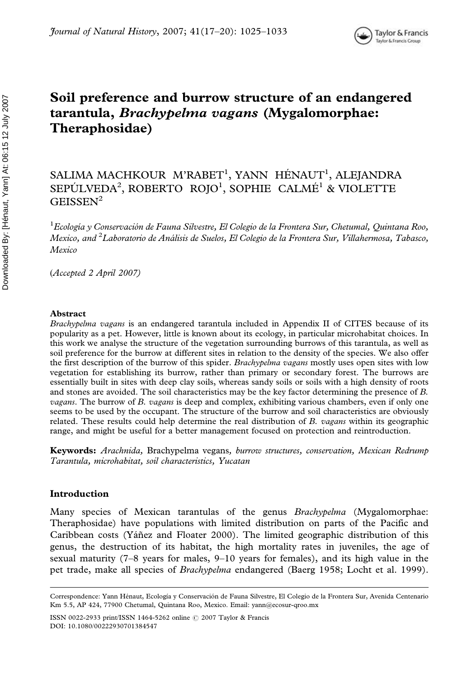# Soil preference and burrow structure of an endangered tarantula, Brachypelma vagans (Mygalomorphae: Theraphosidae)

## SALIMA MACHKOUR M'RABET<sup>1</sup>, YANN HÉNAUT<sup>1</sup>, ALEJANDRA SEPÚLVEDA<sup>2</sup>, ROBERTO ROJO<sup>1</sup>, SOPHIE CALMÉ<sup>1</sup> & VIOLETTE  $G EISSEN<sup>2</sup>$

 $^1$ Ecología y Conservación de Fauna Silvestre, El Colegio de la Frontera Sur, Chetumal, Quintana Roo, Mexico, and <sup>2</sup>Laboratorio de Análisis de Suelos, El Colegio de la Frontera Sur, Villahermosa, Tabasco, Mexico

*(*Accepted 2 April 2007)

#### Abstract

Brachypelma vagans is an endangered tarantula included in Appendix II of CITES because of its popularity as a pet. However, little is known about its ecology, in particular microhabitat choices. In this work we analyse the structure of the vegetation surrounding burrows of this tarantula, as well as soil preference for the burrow at different sites in relation to the density of the species. We also offer the first description of the burrow of this spider. Brachypelma vagans mostly uses open sites with low vegetation for establishing its burrow, rather than primary or secondary forest. The burrows are essentially built in sites with deep clay soils, whereas sandy soils or soils with a high density of roots and stones are avoided. The soil characteristics may be the key factor determining the presence of B. vagans. The burrow of B. vagans is deep and complex, exhibiting various chambers, even if only one seems to be used by the occupant. The structure of the burrow and soil characteristics are obviously related. These results could help determine the real distribution of B. vagans within its geographic range, and might be useful for a better management focused on protection and reintroduction.

Keywords: Arachnida, Brachypelma vegans, burrow structures, conservation, Mexican Redrump Tarantula, microhabitat, soil characteristics, Yucatan

### Introduction

Many species of Mexican tarantulas of the genus Brachypelma (Mygalomorphae: Theraphosidae) have populations with limited distribution on parts of the Pacific and Caribbean costs (Yáñez and Floater 2000). The limited geographic distribution of this genus, the destruction of its habitat, the high mortality rates in juveniles, the age of sexual maturity (7–8 years for males, 9–10 years for females), and its high value in the pet trade, make all species of Brachypelma endangered (Baerg 1958; Locht et al. 1999).

ISSN 0022-2933 print/ISSN 1464-5262 online  $\odot$  2007 Taylor & Francis DOI: 10.1080/00222930701384547

Correspondence: Yann Hénaut, Ecología y Conservación de Fauna Silvestre, El Colegio de la Frontera Sur, Avenida Centenario Km 5.5, AP 424, 77900 Chetumal, Quintana Roo, Mexico. Email: yann@ecosur-qroo.mx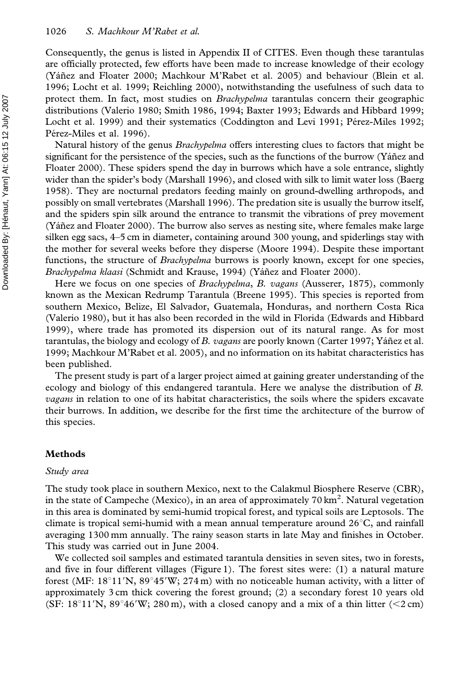Consequently, the genus is listed in Appendix II of CITES. Even though these tarantulas are officially protected, few efforts have been made to increase knowledge of their ecology (Yáñez and Floater 2000; Machkour M'Rabet et al. 2005) and behaviour (Blein et al. 1996; Locht et al. 1999; Reichling 2000), notwithstanding the usefulness of such data to protect them. In fact, most studies on Brachypelma tarantulas concern their geographic distributions (Valerio 1980; Smith 1986, 1994; Baxter 1993; Edwards and Hibbard 1999; Locht et al. 1999) and their systematics (Coddington and Levi 1991; Pérez-Miles 1992; Pérez-Miles et al. 1996).

Natural history of the genus *Brachypelma* offers interesting clues to factors that might be significant for the persistence of the species, such as the functions of the burrow (Yáñez and Floater 2000). These spiders spend the day in burrows which have a sole entrance, slightly wider than the spider's body (Marshall 1996), and closed with silk to limit water loss (Baerg 1958). They are nocturnal predators feeding mainly on ground-dwelling arthropods, and possibly on small vertebrates (Marshall 1996). The predation site is usually the burrow itself, and the spiders spin silk around the entrance to transmit the vibrations of prey movement  $(Y \land \text{añez}$  and Floater 2000). The burrow also serves as nesting site, where females make large silken egg sacs, 4–5 cm in diameter, containing around 300 young, and spiderlings stay with the mother for several weeks before they disperse (Moore 1994). Despite these important functions, the structure of *Brachypelma* burrows is poorly known, except for one species, Brachypelma klaasi (Schmidt and Krause, 1994) (Yáñez and Floater 2000).

Here we focus on one species of *Brachypelma, B. vagans* (Ausserer, 1875), commonly known as the Mexican Redrump Tarantula (Breene 1995). This species is reported from southern Mexico, Belize, El Salvador, Guatemala, Honduras, and northern Costa Rica (Valerio 1980), but it has also been recorded in the wild in Florida (Edwards and Hibbard 1999), where trade has promoted its dispersion out of its natural range. As for most tarantulas, the biology and ecology of B. vagans are poorly known (Carter 1997; Yáñez et al. 1999; Machkour M'Rabet et al. 2005), and no information on its habitat characteristics has been published.

The present study is part of a larger project aimed at gaining greater understanding of the ecology and biology of this endangered tarantula. Here we analyse the distribution of B. vagans in relation to one of its habitat characteristics, the soils where the spiders excavate their burrows. In addition, we describe for the first time the architecture of the burrow of this species.

### Methods

#### Study area

The study took place in southern Mexico, next to the Calakmul Biosphere Reserve (CBR), in the state of Campeche (Mexico), in an area of approximately 70 km<sup>2</sup>. Natural vegetation in this area is dominated by semi-humid tropical forest, and typical soils are Leptosols. The climate is tropical semi-humid with a mean annual temperature around  $26^{\circ}$ C, and rainfall averaging 1300 mm annually. The rainy season starts in late May and finishes in October. This study was carried out in June 2004.

We collected soil samples and estimated tarantula densities in seven sites, two in forests, and five in four different villages (Figure 1). The forest sites were: (1) a natural mature forest (MF:  $18^{\circ}11'$ N,  $89^{\circ}45'$ W; 274 m) with no noticeable human activity, with a litter of approximately 3 cm thick covering the forest ground; (2) a secondary forest 10 years old (SF: 18<sup>o</sup>11'N, 89<sup>o</sup>46'W; 280 m), with a closed canopy and a mix of a thin litter (<2 cm)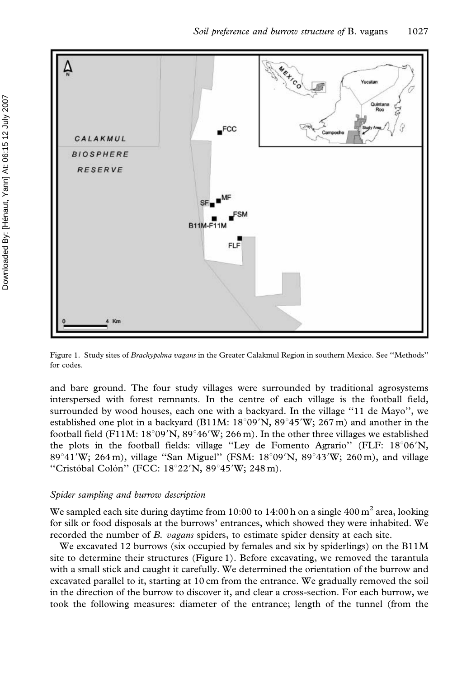

Figure 1. Study sites of Brachypelma vagans in the Greater Calakmul Region in southern Mexico. See ''Methods'' for codes.

and bare ground. The four study villages were surrounded by traditional agrosystems interspersed with forest remnants. In the centre of each village is the football field, surrounded by wood houses, each one with a backyard. In the village ''11 de Mayo'', we established one plot in a backyard (B11M:  $18°09'N$ ,  $89°45'W$ ; 267 m) and another in the football field (F11M:  $18^{\circ}09'$ N,  $89^{\circ}46'$ W; 266 m). In the other three villages we established the plots in the football fields: village "Ley de Fomento Agrario" (FLF: 18°06'N, 89°41'W; 264 m), village "San Miguel" (FSM:  $18^{\circ}09'N$ ,  $89^{\circ}43'W$ ; 260 m), and village "Cristóbal Colón" (FCC: 18°22'N, 89°45'W; 248 m).

#### Spider sampling and burrow description

We sampled each site during daytime from 10:00 to 14:00 h on a single 400  $m<sup>2</sup>$  area, looking for silk or food disposals at the burrows' entrances, which showed they were inhabited. We recorded the number of B. vagans spiders, to estimate spider density at each site.

We excavated 12 burrows (six occupied by females and six by spiderlings) on the B11M site to determine their structures (Figure 1). Before excavating, we removed the tarantula with a small stick and caught it carefully. We determined the orientation of the burrow and excavated parallel to it, starting at 10 cm from the entrance. We gradually removed the soil in the direction of the burrow to discover it, and clear a cross-section. For each burrow, we took the following measures: diameter of the entrance; length of the tunnel (from the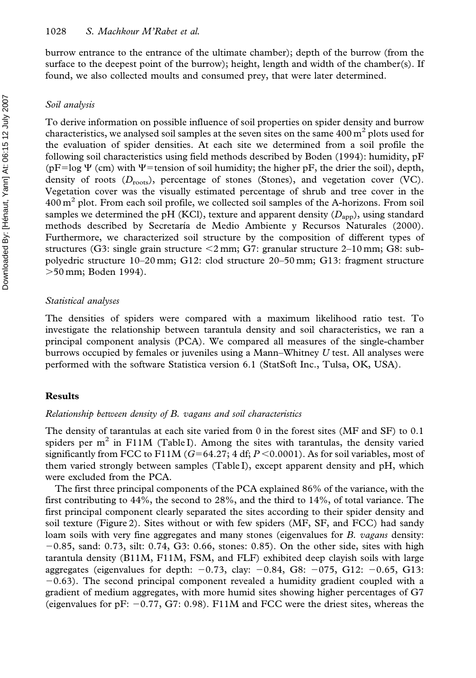burrow entrance to the entrance of the ultimate chamber); depth of the burrow (from the surface to the deepest point of the burrow); height, length and width of the chamber(s). If found, we also collected moults and consumed prey, that were later determined.

#### Soil analysis

To derive information on possible influence of soil properties on spider density and burrow characteristics, we analysed soil samples at the seven sites on the same  $400 \text{ m}^2$  plots used for the evaluation of spider densities. At each site we determined from a soil profile the following soil characteristics using field methods described by Boden (1994): humidity, pF  $(pF=log \Psi$  (cm) with  $\Psi$ =tension of soil humidity; the higher pF, the drier the soil), depth, density of roots  $(D_{\text{roots}})$ , percentage of stones (Stones), and vegetation cover (VC). Vegetation cover was the visually estimated percentage of shrub and tree cover in the  $400 \text{ m}^2$  plot. From each soil profile, we collected soil samples of the A-horizons. From soil samples we determined the pH (KCl), texture and apparent density  $(D_{\text{app}})$ , using standard methods described by Secretaría de Medio Ambiente y Recursos Naturales (2000). Furthermore, we characterized soil structure by the composition of different types of structures (G3: single grain structure  $\leq$ 2 mm; G7: granular structure 2–10 mm; G8: subpolyedric structure 10–20 mm; G12: clod structure 20–50 mm; G13: fragment structure .50 mm; Boden 1994).

#### Statistical analyses

The densities of spiders were compared with a maximum likelihood ratio test. To investigate the relationship between tarantula density and soil characteristics, we ran a principal component analysis (PCA). We compared all measures of the single-chamber burrows occupied by females or juveniles using a Mann–Whitney  $U$  test. All analyses were performed with the software Statistica version 6.1 (StatSoft Inc., Tulsa, OK, USA).

#### Results

#### Relationship between density of B. vagans and soil characteristics

The density of tarantulas at each site varied from 0 in the forest sites (MF and SF) to 0.1 spiders per  $m<sup>2</sup>$  in F11M (Table I). Among the sites with tarantulas, the density varied significantly from FCC to F11M ( $G=64.27$ ; 4 df;  $P<0.0001$ ). As for soil variables, most of them varied strongly between samples (Table I), except apparent density and pH, which were excluded from the PCA.

The first three principal components of the PCA explained 86% of the variance, with the first contributing to 44%, the second to 28%, and the third to 14%, of total variance. The first principal component clearly separated the sites according to their spider density and soil texture (Figure 2). Sites without or with few spiders (MF, SF, and FCC) had sandy loam soils with very fine aggregates and many stones (eigenvalues for B. *vagans* density:  $-0.85$ , sand: 0.73, silt: 0.74, G3: 0.66, stones: 0.85). On the other side, sites with high tarantula density (B11M, F11M, FSM, and FLF) exhibited deep clayish soils with large aggregates (eigenvalues for depth:  $-0.73$ , clay:  $-0.84$ , G8:  $-0.75$ , G12:  $-0.65$ , G13:  $-0.63$ ). The second principal component revealed a humidity gradient coupled with a gradient of medium aggregates, with more humid sites showing higher percentages of G7 (eigenvalues for pF:  $-0.77$ , G7: 0.98). F11M and FCC were the driest sites, whereas the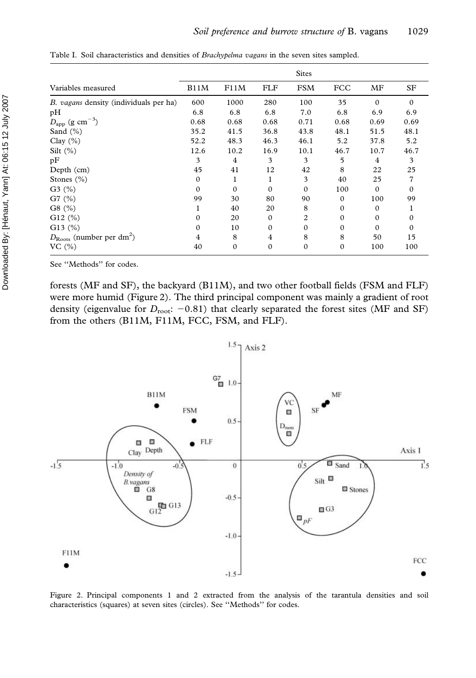|                                                  | <b>Sites</b> |              |            |              |              |              |          |
|--------------------------------------------------|--------------|--------------|------------|--------------|--------------|--------------|----------|
| Variables measured                               | B11M         | F11M         | <b>FLF</b> | <b>FSM</b>   | FCC          | MF           | SF       |
| B. vagans density (individuals per ha)           | 600          | 1000         | 280        | 100          | 35           | $\Omega$     | $\Omega$ |
| pH                                               | 6.8          | 6.8          | 6.8        | 7.0          | 6.8          | 6.9          | 6.9      |
| $D_{\rm app}$ (g cm <sup>-3</sup> )              | 0.68         | 0.68         | 0.68       | 0.71         | 0.68         | 0.69         | 0.69     |
| Sand $(\% )$                                     | 35.2         | 41.5         | 36.8       | 43.8         | 48.1         | 51.5         | 48.1     |
| Clay $(\% )$                                     | 52.2         | 48.3         | 46.3       | 46.1         | 5.2          | 37.8         | 5.2      |
| Silt $(\%)$                                      | 12.6         | 10.2         | 16.9       | 10.1         | 46.7         | 10.7         | 46.7     |
| pF                                               | 3            | 4            | 3          | 3            | 5            | 4            | 3        |
| Depth (cm)                                       | 45           | 41           | 12         | 42           | 8            | 22           | 25       |
| Stones $(\% )$                                   | $\Omega$     | 1            |            | 3            | 40           | 25           | 7        |
| $G3 \; (%)$                                      | $\Omega$     | $\Omega$     | $\Omega$   | $\Omega$     | 100          | $\Omega$     | $\Omega$ |
| $G7$ (%)                                         | 99           | 30           | 80         | 90           | $\Omega$     | 100          | 99       |
| G8(%)                                            |              | 40           | 20         | 8            | $\Omega$     | $\Omega$     |          |
| $G12$ (%)                                        | $\Omega$     | 20           | $\Omega$   | 2            | $\Omega$     | $\mathbf{0}$ | $\Omega$ |
| G13 $(%)$                                        | $\Omega$     | 10           | $\Omega$   | $\mathbf{0}$ | $\Omega$     | $\Omega$     | $\Omega$ |
| $D_{\text{Roots}}$ (number per dm <sup>2</sup> ) | 4            | 8            | 4          | 8            | 8            | 50           | 15       |
| VC $(\% )$                                       | 40           | $\mathbf{0}$ | $\Omega$   | $\mathbf{0}$ | $\mathbf{0}$ | 100          | 100      |

Table I. Soil characteristics and densities of Brachypelma vagans in the seven sites sampled.

See ''Methods'' for codes.

forests (MF and SF), the backyard (B11M), and two other football fields (FSM and FLF) were more humid (Figure 2). The third principal component was mainly a gradient of root density (eigenvalue for  $D_{\text{root}}$ : -0.81) that clearly separated the forest sites (MF and SF) from the others (B11M, F11M, FCC, FSM, and FLF).



Figure 2. Principal components 1 and 2 extracted from the analysis of the tarantula densities and soil characteristics (squares) at seven sites (circles). See ''Methods'' for codes.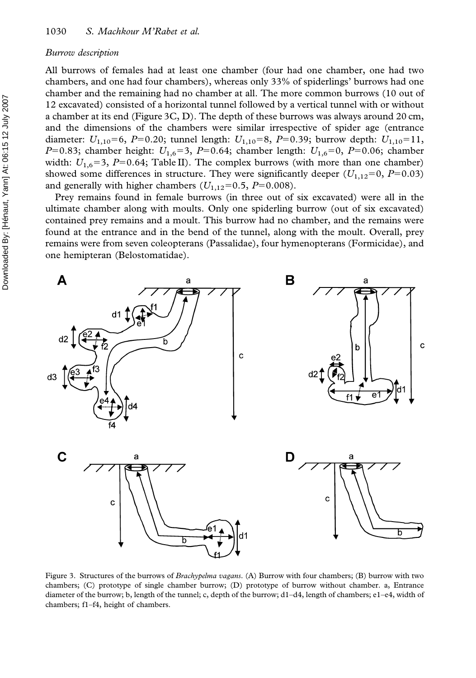#### Burrow description

All burrows of females had at least one chamber (four had one chamber, one had two chambers, and one had four chambers), whereas only 33% of spiderlings' burrows had one chamber and the remaining had no chamber at all. The more common burrows (10 out of 12 excavated) consisted of a horizontal tunnel followed by a vertical tunnel with or without a chamber at its end (Figure 3C, D). The depth of these burrows was always around 20 cm, and the dimensions of the chambers were similar irrespective of spider age (entrance diameter:  $U_{1,10}$ =6, P=0.20; tunnel length:  $U_{1,10}$ =8, P=0.39; burrow depth:  $U_{1,10}$ =11, P=0.83; chamber height:  $U_{1,6}=3$ , P=0.64; chamber length:  $U_{1,6}=0$ , P=0.06; chamber width:  $U_{1.6}$ =3,  $P=0.64$ ; Table II). The complex burrows (with more than one chamber) showed some differences in structure. They were significantly deeper  $(U_{1,12}=0, P=0.03)$ and generally with higher chambers  $(U_{1,12}=0.5, P=0.008)$ .

Prey remains found in female burrows (in three out of six excavated) were all in the ultimate chamber along with moults. Only one spiderling burrow (out of six excavated) contained prey remains and a moult. This burrow had no chamber, and the remains were found at the entrance and in the bend of the tunnel, along with the moult. Overall, prey remains were from seven coleopterans (Passalidae), four hymenopterans (Formicidae), and one hemipteran (Belostomatidae).



Figure 3. Structures of the burrows of *Brachypelma vagans*. (A) Burrow with four chambers; (B) burrow with two chambers; (C) prototype of single chamber burrow; (D) prototype of burrow without chamber. a, Entrance diameter of the burrow; b, length of the tunnel; c, depth of the burrow; d1–d4, length of chambers; e1–e4, width of chambers; f1–f4, height of chambers.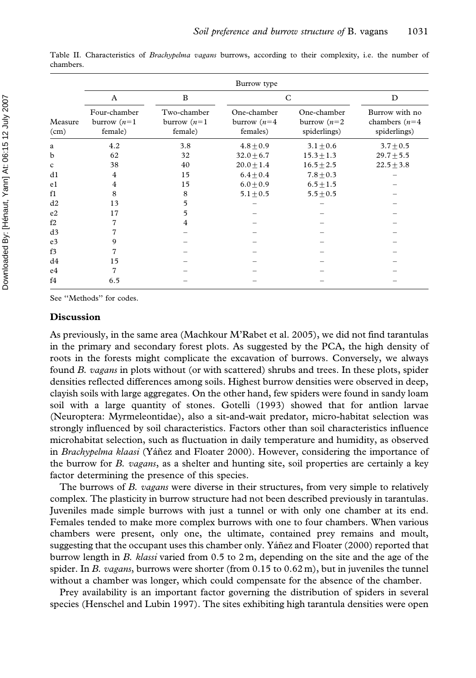|                 | Burrow type                               |                                          |                                           |                                               |                                                    |  |  |  |  |  |
|-----------------|-------------------------------------------|------------------------------------------|-------------------------------------------|-----------------------------------------------|----------------------------------------------------|--|--|--|--|--|
|                 | A                                         | B                                        | C                                         |                                               | D                                                  |  |  |  |  |  |
| Measure<br>(cm) | Four-chamber<br>burrow $(n=1)$<br>female) | Two-chamber<br>burrow $(n=1)$<br>female) | One-chamber<br>burrow $(n=4)$<br>females) | One-chamber<br>burrow $(n=2)$<br>spiderlings) | Burrow with no<br>chambers $(n=4)$<br>spiderlings) |  |  |  |  |  |
| a               | 4.2                                       | 3.8                                      | $4.8 + 0.9$                               | $3.1 \pm 0.6$                                 | $3.7 \pm 0.5$                                      |  |  |  |  |  |
| b               | 62                                        | 32                                       | $32.0 + 6.7$                              | $15.3 + 1.3$                                  | $29.7 \pm 5.5$                                     |  |  |  |  |  |
| c               | 38                                        | 40                                       | $20.0 \pm 1.4$                            | $16.5 \pm 2.5$                                | $22.5 \pm 3.8$                                     |  |  |  |  |  |
| d1              | 4                                         | 15                                       | $6.4 \pm 0.4$                             | $7.8 \pm 0.3$                                 |                                                    |  |  |  |  |  |
| e1              | 4                                         | 15                                       | $6.0 + 0.9$                               | $6.5 \pm 1.5$                                 |                                                    |  |  |  |  |  |
| f1              | 8                                         | 8                                        | $5.1 + 0.5$                               | $5.5 + 0.5$                                   |                                                    |  |  |  |  |  |
| d2              | 13                                        | 5                                        |                                           |                                               |                                                    |  |  |  |  |  |
| e2              | 17                                        | 5                                        |                                           |                                               |                                                    |  |  |  |  |  |
| f2              | 7                                         | 4                                        |                                           |                                               |                                                    |  |  |  |  |  |
| d3              | 7                                         |                                          |                                           |                                               |                                                    |  |  |  |  |  |
| e <sub>3</sub>  | 9                                         |                                          |                                           |                                               |                                                    |  |  |  |  |  |
| f3              | 7                                         |                                          |                                           |                                               |                                                    |  |  |  |  |  |
| d4              | 15                                        |                                          |                                           |                                               |                                                    |  |  |  |  |  |
| e4              | 7                                         |                                          |                                           |                                               |                                                    |  |  |  |  |  |
| f4              | 6.5                                       |                                          |                                           |                                               |                                                    |  |  |  |  |  |

Table II. Characteristics of Brachypelma vagans burrows, according to their complexity, i.e. the number of chambers.

See ''Methods'' for codes.

#### Discussion

As previously, in the same area (Machkour M'Rabet et al. 2005), we did not find tarantulas in the primary and secondary forest plots. As suggested by the PCA, the high density of roots in the forests might complicate the excavation of burrows. Conversely, we always found B. vagans in plots without (or with scattered) shrubs and trees. In these plots, spider densities reflected differences among soils. Highest burrow densities were observed in deep, clayish soils with large aggregates. On the other hand, few spiders were found in sandy loam soil with a large quantity of stones. Gotelli (1993) showed that for antlion larvae (Neuroptera: Myrmeleontidae), also a sit-and-wait predator, micro-habitat selection was strongly influenced by soil characteristics. Factors other than soil characteristics influence microhabitat selection, such as fluctuation in daily temperature and humidity, as observed in Brachypelma klaasi (Yáñez and Floater 2000). However, considering the importance of the burrow for B. vagans, as a shelter and hunting site, soil properties are certainly a key factor determining the presence of this species.

The burrows of B. *vagans* were diverse in their structures, from very simple to relatively complex. The plasticity in burrow structure had not been described previously in tarantulas. Juveniles made simple burrows with just a tunnel or with only one chamber at its end. Females tended to make more complex burrows with one to four chambers. When various chambers were present, only one, the ultimate, contained prey remains and moult, suggesting that the occupant uses this chamber only. Yáñez and Floater (2000) reported that burrow length in B. klassi varied from  $0.5$  to  $2 \text{ m}$ , depending on the site and the age of the spider. In B. vagans, burrows were shorter (from  $0.15$  to  $0.62$  m), but in juveniles the tunnel without a chamber was longer, which could compensate for the absence of the chamber.

Prey availability is an important factor governing the distribution of spiders in several species (Henschel and Lubin 1997). The sites exhibiting high tarantula densities were open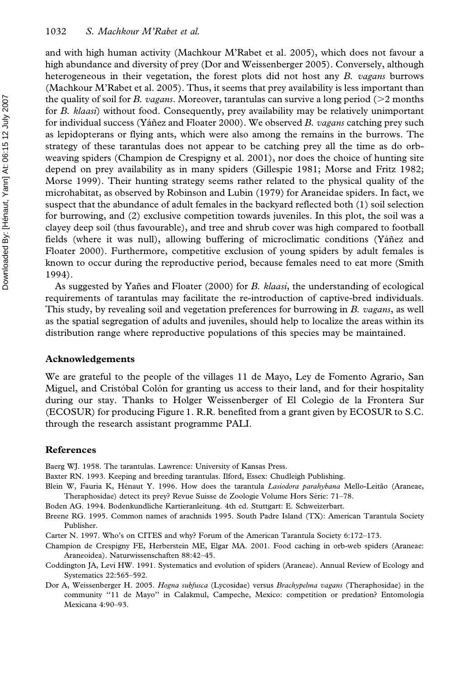and with high human activity (Machkour M'Rabet et al. 2005), which does not favour a high abundance and diversity of prey (Dor and Weissenberger 2005). Conversely, although heterogeneous in their vegetation, the forest plots did not host any B. vagans burrows (Machkour M'Rabet et al. 2005). Thus, it seems that prey availability is less important than the quality of soil for B. vagans. Moreover, tarantulas can survive a long period ( $>$ 2 months for B. klaasi) without food. Consequently, prey availability may be relatively unimportant for individual success (Yáñez and Floater 2000). We observed B. vagans catching prey such as lepidopterans or flying ants, which were also among the remains in the burrows. The strategy of these tarantulas does not appear to be catching prey all the time as do orbweaving spiders (Champion de Crespigny et al. 2001), nor does the choice of hunting site depend on prey availability as in many spiders (Gillespie 1981; Morse and Fritz 1982; Morse 1999). Their hunting strategy seems rather related to the physical quality of the microhabitat, as observed by Robinson and Lubin (1979) for Araneidae spiders. In fact, we suspect that the abundance of adult females in the backyard reflected both (1) soil selection for burrowing, and (2) exclusive competition towards juveniles. In this plot, the soil was a clayey deep soil (thus favourable), and tree and shrub cover was high compared to football fields (where it was null), allowing buffering of microclimatic conditions (Yáñez and Floater 2000). Furthermore, competitive exclusion of young spiders by adult females is known to occur during the reproductive period, because females need to eat more (Smith 1994).

As suggested by Yañes and Floater (2000) for B. klaasi, the understanding of ecological requirements of tarantulas may facilitate the re-introduction of captive-bred individuals. This study, by revealing soil and vegetation preferences for burrowing in B. vagans, as well as the spatial segregation of adults and juveniles, should help to localize the areas within its distribution range where reproductive populations of this species may be maintained.

#### Acknowledgements

We are grateful to the people of the villages 11 de Mayo, Ley de Fomento Agrario, San Miguel, and Cristóbal Colón for granting us access to their land, and for their hospitality during our stay. Thanks to Holger Weissenberger of El Colegio de la Frontera Sur (ECOSUR) for producing Figure 1. R.R. benefited from a grant given by ECOSUR to S.C. through the research assistant programme PALI.

#### References

Baerg WJ. 1958. The tarantulas. Lawrence: University of Kansas Press.

- Baxter RN. 1993. Keeping and breeding tarantulas. Ilford, Essex: Chudleigh Publishing.
- Blein W, Fauria K, Hénaut Y. 1996. How does the tarantula Lasiodora parahybana Mello-Leitão (Araneae, Theraphosidae) detect its prey? Revue Suisse de Zoologie Volume Hors Série: 71–78.
- Boden AG. 1994. Bodenkundliche Kartieranleitung. 4th ed. Stuttgart: E. Schweizerbart.
- Breene RG. 1995. Common names of arachnids 1995. South Padre Island (TX): American Tarantula Society Publisher.
- Carter N. 1997. Who's on CITES and why? Forum of the American Tarantula Society 6:172–173.
- Champion de Crespigny FE, Herberstein ME, Elgar MA. 2001. Food caching in orb-web spiders (Araneae: Araneoidea). Naturwissenschaften 88:42–45.
- Coddington JA, Levi HW. 1991. Systematics and evolution of spiders (Araneae). Annual Review of Ecology and Systematics 22:565–592.
- Dor A, Weissenberger H. 2005. Hogna subfusca (Lycosidae) versus Brachypelma vagans (Theraphosidae) in the community "11 de Mayo" in Calakmul, Campeche, Mexico: competition or predation? Entomología Mexicana 4:90–93.